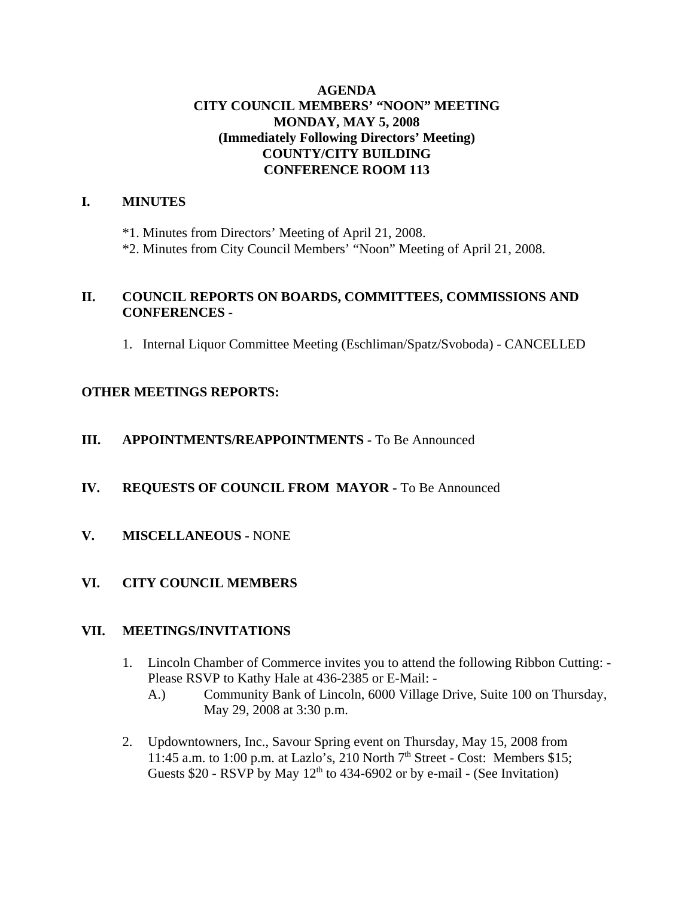### **AGENDA CITY COUNCIL MEMBERS' "NOON" MEETING MONDAY, MAY 5, 2008 (Immediately Following Directors' Meeting) COUNTY/CITY BUILDING CONFERENCE ROOM 113**

### **I. MINUTES**

\*1. Minutes from Directors' Meeting of April 21, 2008.

\*2. Minutes from City Council Members' "Noon" Meeting of April 21, 2008.

### **II. COUNCIL REPORTS ON BOARDS, COMMITTEES, COMMISSIONS AND CONFERENCES** -

1. Internal Liquor Committee Meeting (Eschliman/Spatz/Svoboda) - CANCELLED

# **OTHER MEETINGS REPORTS:**

### **III.** APPOINTMENTS/REAPPOINTMENTS - To Be Announced

### **IV. REQUESTS OF COUNCIL FROM MAYOR -** To Be Announced

**V. MISCELLANEOUS -** NONE

### **VI. CITY COUNCIL MEMBERS**

### **VII. MEETINGS/INVITATIONS**

- 1. Lincoln Chamber of Commerce invites you to attend the following Ribbon Cutting: Please RSVP to Kathy Hale at 436-2385 or E-Mail: -
	- A.) Community Bank of Lincoln, 6000 Village Drive, Suite 100 on Thursday, May 29, 2008 at 3:30 p.m.
- 2. Updowntowners, Inc., Savour Spring event on Thursday, May 15, 2008 from 11:45 a.m. to 1:00 p.m. at Lazlo's, 210 North  $7<sup>th</sup>$  Street - Cost: Members \$15; Guests  $$20$  - RSVP by May  $12<sup>th</sup>$  to 434-6902 or by e-mail - (See Invitation)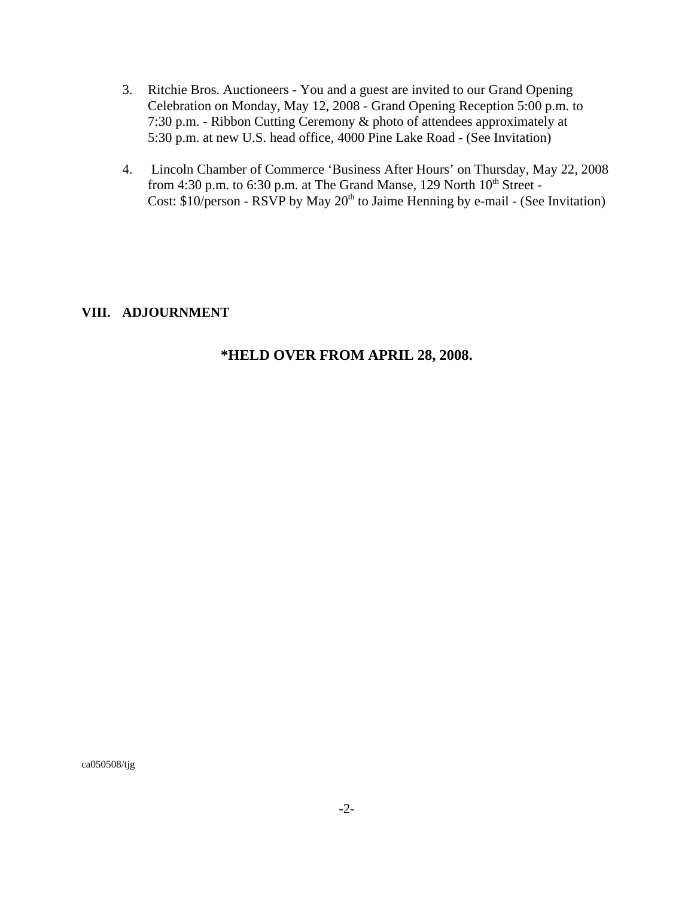- 3. Ritchie Bros. Auctioneers You and a guest are invited to our Grand Opening Celebration on Monday, May 12, 2008 - Grand Opening Reception 5:00 p.m. to 7:30 p.m. - Ribbon Cutting Ceremony & photo of attendees approximately at 5:30 p.m. at new U.S. head office, 4000 Pine Lake Road - (See Invitation)
- 4. Lincoln Chamber of Commerce 'Business After Hours' on Thursday, May 22, 2008 from 4:30 p.m. to 6:30 p.m. at The Grand Manse, 129 North  $10^{th}$  Street -Cost:  $$10/person - RSVP$  by May  $20<sup>th</sup>$  to Jaime Henning by e-mail - (See Invitation)

#### **VIII. ADJOURNMENT**

### **\*HELD OVER FROM APRIL 28, 2008.**

ca050508/tjg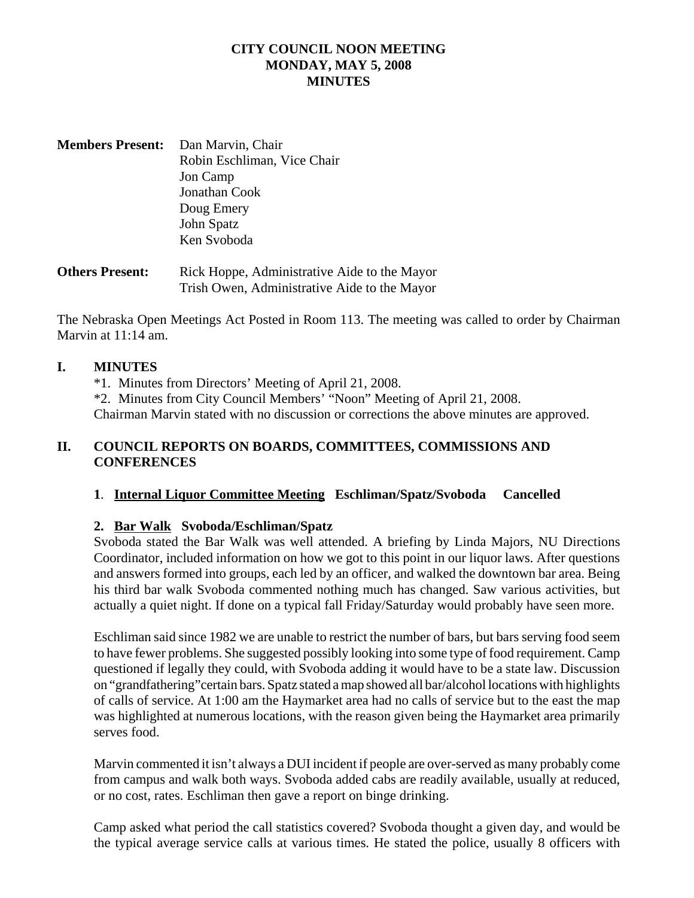## **CITY COUNCIL NOON MEETING MONDAY, MAY 5, 2008 MINUTES**

**Members Present:** Dan Marvin, Chair Robin Eschliman, Vice Chair Jon Camp Jonathan Cook Doug Emery John Spatz Ken Svoboda

**Others Present:** Rick Hoppe, Administrative Aide to the Mayor Trish Owen, Administrative Aide to the Mayor

The Nebraska Open Meetings Act Posted in Room 113. The meeting was called to order by Chairman Marvin at 11:14 am.

#### **I. MINUTES**

\*1. Minutes from Directors' Meeting of April 21, 2008.

\*2. Minutes from City Council Members' "Noon" Meeting of April 21, 2008.

Chairman Marvin stated with no discussion or corrections the above minutes are approved.

### **II. COUNCIL REPORTS ON BOARDS, COMMITTEES, COMMISSIONS AND CONFERENCES**

#### **1**. **Internal Liquor Committee Meeting Eschliman/Spatz/Svoboda Cancelled**

### **2. Bar Walk Svoboda/Eschliman/Spatz**

Svoboda stated the Bar Walk was well attended. A briefing by Linda Majors, NU Directions Coordinator, included information on how we got to this point in our liquor laws. After questions and answers formed into groups, each led by an officer, and walked the downtown bar area. Being his third bar walk Svoboda commented nothing much has changed. Saw various activities, but actually a quiet night. If done on a typical fall Friday/Saturday would probably have seen more.

Eschliman said since 1982 we are unable to restrict the number of bars, but bars serving food seem to have fewer problems. She suggested possibly looking into some type of food requirement. Camp questioned if legally they could, with Svoboda adding it would have to be a state law. Discussion on "grandfathering"certain bars. Spatz stated a map showed all bar/alcohol locations with highlights of calls of service. At 1:00 am the Haymarket area had no calls of service but to the east the map was highlighted at numerous locations, with the reason given being the Haymarket area primarily serves food.

Marvin commented it isn't always a DUI incident if people are over-served as many probably come from campus and walk both ways. Svoboda added cabs are readily available, usually at reduced, or no cost, rates. Eschliman then gave a report on binge drinking.

Camp asked what period the call statistics covered? Svoboda thought a given day, and would be the typical average service calls at various times. He stated the police, usually 8 officers with